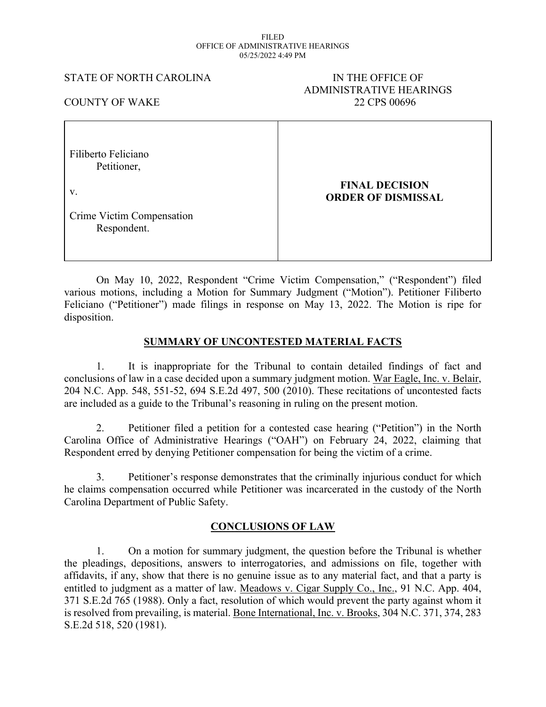#### FILED OFFICE OF ADMINISTRATIVE HEARINGS 05/25/2022 4:49 PM

#### STATE OF NORTH CAROLINA IN THE OFFICE OF

# ADMINISTRATIVE HEARINGS COUNTY OF WAKE 22 CPS 00696

| Filiberto Feliciano<br>Petitioner,       |                                                    |
|------------------------------------------|----------------------------------------------------|
| $V_{\cdot}$                              | <b>FINAL DECISION</b><br><b>ORDER OF DISMISSAL</b> |
| Crime Victim Compensation<br>Respondent. |                                                    |

On May 10, 2022, Respondent "Crime Victim Compensation," ("Respondent") filed various motions, including a Motion for Summary Judgment ("Motion"). Petitioner Filiberto Feliciano ("Petitioner") made filings in response on May 13, 2022. The Motion is ripe for disposition.

### **SUMMARY OF UNCONTESTED MATERIAL FACTS**

1. It is inappropriate for the Tribunal to contain detailed findings of fact and conclusions of law in a case decided upon a summary judgment motion. War Eagle, Inc. v. Belair, 204 N.C. App. 548, 551-52, 694 S.E.2d 497, 500 (2010). These recitations of uncontested facts are included as a guide to the Tribunal's reasoning in ruling on the present motion.

2. Petitioner filed a petition for a contested case hearing ("Petition") in the North Carolina Office of Administrative Hearings ("OAH") on February 24, 2022, claiming that Respondent erred by denying Petitioner compensation for being the victim of a crime.

3. Petitioner's response demonstrates that the criminally injurious conduct for which he claims compensation occurred while Petitioner was incarcerated in the custody of the North Carolina Department of Public Safety.

# **CONCLUSIONS OF LAW**

1. On a motion for summary judgment, the question before the Tribunal is whether the pleadings, depositions, answers to interrogatories, and admissions on file, together with affidavits, if any, show that there is no genuine issue as to any material fact, and that a party is entitled to judgment as a matter of law. Meadows v. Cigar Supply Co., Inc., 91 N.C. App. 404, 371 S.E.2d 765 (1988). Only a fact, resolution of which would prevent the party against whom it is resolved from prevailing, is material. Bone International, Inc. v. Brooks, 304 N.C. 371, 374, 283 S.E.2d 518, 520 (1981).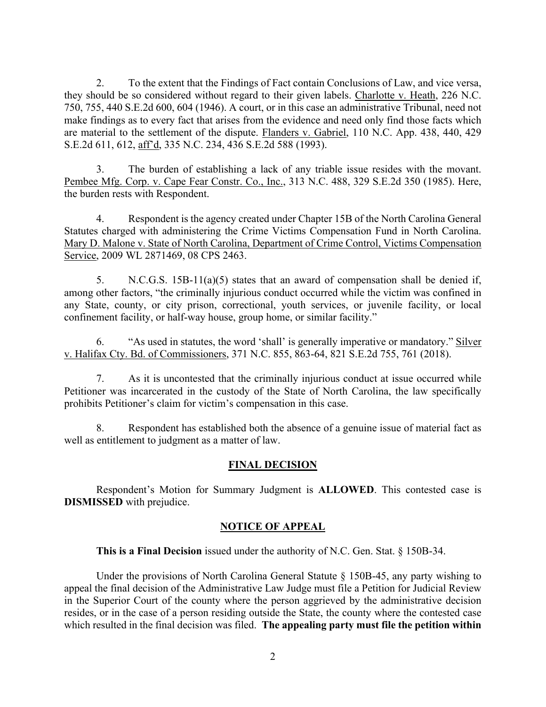2. To the extent that the Findings of Fact contain Conclusions of Law, and vice versa, they should be so considered without regard to their given labels. Charlotte v. Heath, 226 N.C. 750, 755, 440 S.E.2d 600, 604 (1946). A court, or in this case an administrative Tribunal, need not make findings as to every fact that arises from the evidence and need only find those facts which are material to the settlement of the dispute. Flanders v. Gabriel, 110 N.C. App. 438, 440, 429 S.E.2d 611, 612, aff'd, 335 N.C. 234, 436 S.E.2d 588 (1993).

3. The burden of establishing a lack of any triable issue resides with the movant. Pembee Mfg. Corp. v. Cape Fear Constr. Co., Inc., 313 N.C. 488, 329 S.E.2d 350 (1985). Here, the burden rests with Respondent.

4. Respondent is the agency created under Chapter 15B of the North Carolina General Statutes charged with administering the Crime Victims Compensation Fund in North Carolina. Mary D. Malone v. State of North Carolina, Department of Crime Control, Victims Compensation Service, 2009 WL 2871469, 08 CPS 2463.

5. N.C.G.S. 15B-11(a)(5) states that an award of compensation shall be denied if, among other factors, "the criminally injurious conduct occurred while the victim was confined in any State, county, or city prison, correctional, youth services, or juvenile facility, or local confinement facility, or half-way house, group home, or similar facility."

6. "As used in statutes, the word 'shall' is generally imperative or mandatory." Silver v. Halifax Cty. Bd. of Commissioners, 371 N.C. 855, 863-64, 821 S.E.2d 755, 761 (2018).

7. As it is uncontested that the criminally injurious conduct at issue occurred while Petitioner was incarcerated in the custody of the State of North Carolina, the law specifically prohibits Petitioner's claim for victim's compensation in this case.

8. Respondent has established both the absence of a genuine issue of material fact as well as entitlement to judgment as a matter of law.

# **FINAL DECISION**

Respondent's Motion for Summary Judgment is **ALLOWED**. This contested case is **DISMISSED** with prejudice.

# **NOTICE OF APPEAL**

**This is a Final Decision** issued under the authority of N.C. Gen. Stat. § 150B-34.

Under the provisions of North Carolina General Statute  $\S$  150B-45, any party wishing to appeal the final decision of the Administrative Law Judge must file a Petition for Judicial Review in the Superior Court of the county where the person aggrieved by the administrative decision resides, or in the case of a person residing outside the State, the county where the contested case which resulted in the final decision was filed. **The appealing party must file the petition within**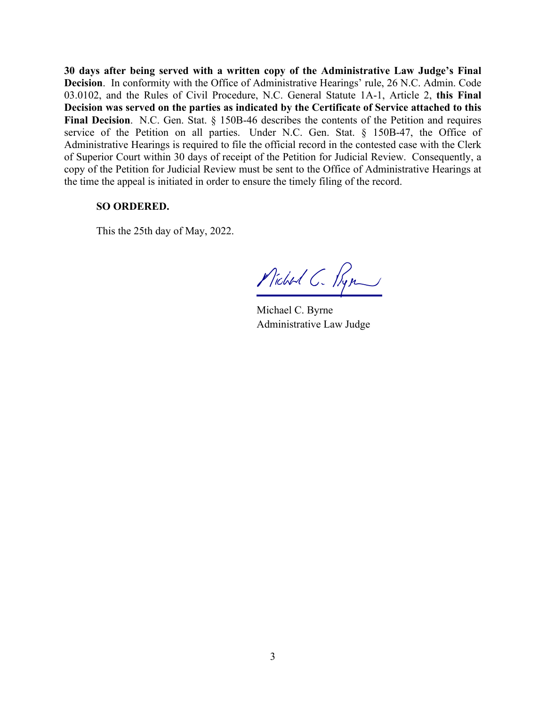**30 days after being served with a written copy of the Administrative Law Judge's Final Decision**. In conformity with the Office of Administrative Hearings' rule, 26 N.C. Admin. Code 03.0102, and the Rules of Civil Procedure, N.C. General Statute 1A-1, Article 2, **this Final Decision was served on the parties as indicated by the Certificate of Service attached to this Final Decision**. N.C. Gen. Stat. § 150B-46 describes the contents of the Petition and requires service of the Petition on all parties. Under N.C. Gen. Stat. § 150B-47, the Office of Administrative Hearings is required to file the official record in the contested case with the Clerk of Superior Court within 30 days of receipt of the Petition for Judicial Review. Consequently, a copy of the Petition for Judicial Review must be sent to the Office of Administrative Hearings at the time the appeal is initiated in order to ensure the timely filing of the record.

#### **SO ORDERED.**

This the 25th day of May, 2022.

Michael C. Ryn

Michael C. Byrne Administrative Law Judge